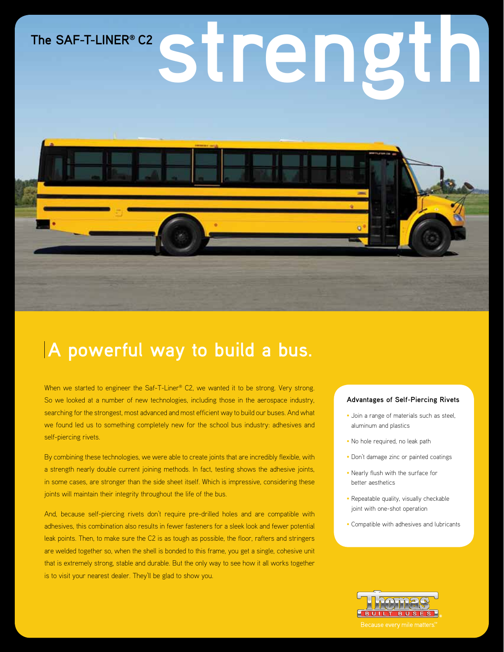# The SAF-T-LINER® C2<br> **Second and Second Property C2**



# **A powerful way to build a bus.**

When we started to engineer the Saf-T-Liner® C2, we wanted it to be strong. Very strong. So we looked at a number of new technologies, including those in the aerospace industry, searching for the strongest, most advanced and most efficient way to build our buses. And what we found led us to something completely new for the school bus industry: adhesives and self-piercing rivets.

By combining these technologies, we were able to create joints that are incredibly flexible, with a strength nearly double current joining methods. In fact, testing shows the adhesive joints, in some cases, are stronger than the side sheet itself. Which is impressive, considering these joints will maintain their integrity throughout the life of the bus.

And, because self-piercing rivets don't require pre-drilled holes and are compatible with adhesives, this combination also results in fewer fasteners for a sleek look and fewer potential leak points. Then, to make sure the C2 is as tough as possible, the floor, rafters and stringers are welded together so, when the shell is bonded to this frame, you get a single, cohesive unit that is extremely strong, stable and durable. But the only way to see how it all works together is to visit your nearest dealer. They'll be glad to show you.

#### **Advantages of Self-Piercing Rivets**

- Join a range of materials such as steel. aluminum and plastics
- No hole required, no leak path
- Don't damage zinc or painted coatings
- • Nearly flush with the surface for better aesthetics
- Repeatable quality, visually checkable joint with one-shot operation
- • Compatible with adhesives and lubricants